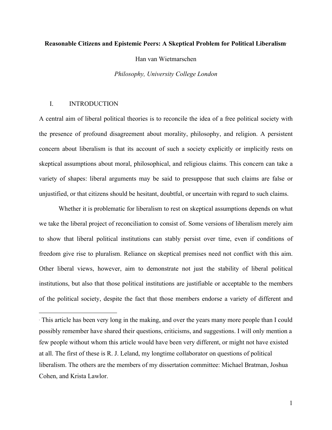## **Reasonable Citizens and Epistemic Peers: A Skeptical Problem for Political Liberalism**<sup>∗</sup>

Han van Wietmarschen

*Philosophy, University College London*

### I. INTRODUCTION

 $\overline{a}$ 

A central aim of liberal political theories is to reconcile the idea of a free political society with the presence of profound disagreement about morality, philosophy, and religion. A persistent concern about liberalism is that its account of such a society explicitly or implicitly rests on skeptical assumptions about moral, philosophical, and religious claims. This concern can take a variety of shapes: liberal arguments may be said to presuppose that such claims are false or unjustified, or that citizens should be hesitant, doubtful, or uncertain with regard to such claims.

Whether it is problematic for liberalism to rest on skeptical assumptions depends on what we take the liberal project of reconciliation to consist of. Some versions of liberalism merely aim to show that liberal political institutions can stably persist over time, even if conditions of freedom give rise to pluralism. Reliance on skeptical premises need not conflict with this aim. Other liberal views, however, aim to demonstrate not just the stability of liberal political institutions, but also that those political institutions are justifiable or acceptable to the members of the political society, despite the fact that those members endorse a variety of different and

<sup>∗</sup> This article has been very long in the making, and over the years many more people than I could possibly remember have shared their questions, criticisms, and suggestions. I will only mention a few people without whom this article would have been very different, or might not have existed at all. The first of these is R. J. Leland, my longtime collaborator on questions of political liberalism. The others are the members of my dissertation committee: Michael Bratman, Joshua Cohen, and Krista Lawlor.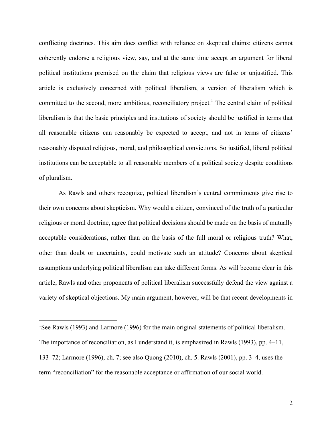conflicting doctrines. This aim does conflict with reliance on skeptical claims: citizens cannot coherently endorse a religious view, say, and at the same time accept an argument for liberal political institutions premised on the claim that religious views are false or unjustified. This article is exclusively concerned with political liberalism, a version of liberalism which is committed to the second, more ambitious, reconciliatory project.<sup>1</sup> The central claim of political liberalism is that the basic principles and institutions of society should be justified in terms that all reasonable citizens can reasonably be expected to accept, and not in terms of citizens' reasonably disputed religious, moral, and philosophical convictions. So justified, liberal political institutions can be acceptable to all reasonable members of a political society despite conditions of pluralism.

As Rawls and others recognize, political liberalism's central commitments give rise to their own concerns about skepticism. Why would a citizen, convinced of the truth of a particular religious or moral doctrine, agree that political decisions should be made on the basis of mutually acceptable considerations, rather than on the basis of the full moral or religious truth? What, other than doubt or uncertainty, could motivate such an attitude? Concerns about skeptical assumptions underlying political liberalism can take different forms. As will become clear in this article, Rawls and other proponents of political liberalism successfully defend the view against a variety of skeptical objections. My main argument, however, will be that recent developments in

<sup>&</sup>lt;sup>1</sup>See Rawls (1993) and Larmore (1996) for the main original statements of political liberalism. The importance of reconciliation, as I understand it, is emphasized in Rawls (1993), pp. 4–11, 133‒72; Larmore (1996), ch. 7; see also Quong (2010), ch. 5. Rawls (2001), pp. 3‒4, uses the term "reconciliation" for the reasonable acceptance or affirmation of our social world.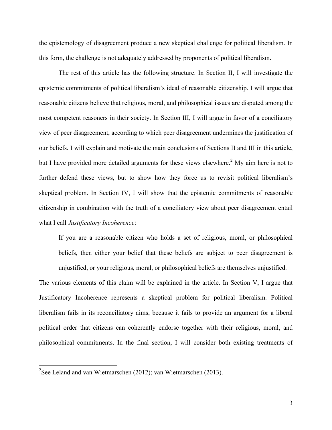the epistemology of disagreement produce a new skeptical challenge for political liberalism. In this form, the challenge is not adequately addressed by proponents of political liberalism.

The rest of this article has the following structure. In Section II, I will investigate the epistemic commitments of political liberalism's ideal of reasonable citizenship. I will argue that reasonable citizens believe that religious, moral, and philosophical issues are disputed among the most competent reasoners in their society. In Section III, I will argue in favor of a conciliatory view of peer disagreement, according to which peer disagreement undermines the justification of our beliefs. I will explain and motivate the main conclusions of Sections II and III in this article, but I have provided more detailed arguments for these views elsewhere.<sup>2</sup> My aim here is not to further defend these views, but to show how they force us to revisit political liberalism's skeptical problem. In Section IV, I will show that the epistemic commitments of reasonable citizenship in combination with the truth of a conciliatory view about peer disagreement entail what I call *Justificatory Incoherence*:

If you are a reasonable citizen who holds a set of religious, moral, or philosophical beliefs, then either your belief that these beliefs are subject to peer disagreement is unjustified, or your religious, moral, or philosophical beliefs are themselves unjustified.

The various elements of this claim will be explained in the article. In Section V, I argue that Justificatory Incoherence represents a skeptical problem for political liberalism. Political liberalism fails in its reconciliatory aims, because it fails to provide an argument for a liberal political order that citizens can coherently endorse together with their religious, moral, and philosophical commitments. In the final section, I will consider both existing treatments of

 <sup>2</sup> See Leland and van Wietmarschen (2012); van Wietmarschen (2013).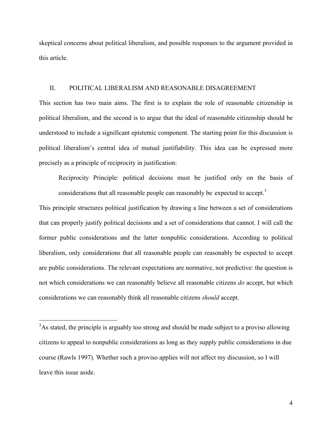skeptical concerns about political liberalism, and possible responses to the argument provided in this article.

# II. POLITICAL LIBERALISM AND REASONABLE DISAGREEMENT

This section has two main aims. The first is to explain the role of reasonable citizenship in political liberalism, and the second is to argue that the ideal of reasonable citizenship should be understood to include a significant epistemic component. The starting point for this discussion is political liberalism's central idea of mutual justifiability. This idea can be expressed more precisely as a principle of reciprocity in justification:

Reciprocity Principle: political decisions must be justified only on the basis of considerations that all reasonable people can reasonably be expected to accept.<sup>3</sup>

This principle structures political justification by drawing a line between a set of considerations that can properly justify political decisions and a set of considerations that cannot. I will call the former public considerations and the latter nonpublic considerations. According to political liberalism, only considerations that all reasonable people can reasonably be expected to accept are public considerations. The relevant expectations are normative, not predictive: the question is not which considerations we can reasonably believe all reasonable citizens *do* accept, but which considerations we can reasonably think all reasonable citizens *should* accept.

<sup>&</sup>lt;sup>3</sup>As stated, the principle is arguably too strong and should be made subject to a proviso allowing citizens to appeal to nonpublic considerations as long as they supply public considerations in due course (Rawls 1997). Whether such a proviso applies will not affect my discussion, so I will leave this issue aside.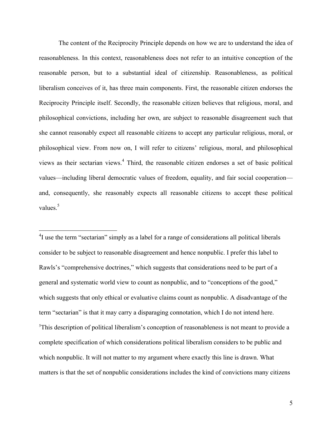The content of the Reciprocity Principle depends on how we are to understand the idea of reasonableness. In this context, reasonableness does not refer to an intuitive conception of the reasonable person, but to a substantial ideal of citizenship. Reasonableness, as political liberalism conceives of it, has three main components. First, the reasonable citizen endorses the Reciprocity Principle itself. Secondly, the reasonable citizen believes that religious, moral, and philosophical convictions, including her own, are subject to reasonable disagreement such that she cannot reasonably expect all reasonable citizens to accept any particular religious, moral, or philosophical view. From now on, I will refer to citizens' religious, moral, and philosophical views as their sectarian views.<sup>4</sup> Third, the reasonable citizen endorses a set of basic political values—including liberal democratic values of freedom, equality, and fair social cooperation and, consequently, she reasonably expects all reasonable citizens to accept these political values.<sup>5</sup>

<sup>4</sup>I use the term "sectarian" simply as a label for a range of considerations all political liberals consider to be subject to reasonable disagreement and hence nonpublic. I prefer this label to Rawls's "comprehensive doctrines," which suggests that considerations need to be part of a general and systematic world view to count as nonpublic, and to "conceptions of the good," which suggests that only ethical or evaluative claims count as nonpublic. A disadvantage of the term "sectarian" is that it may carry a disparaging connotation, which I do not intend here. <sup>5</sup>This description of political liberalism's conception of reasonableness is not meant to provide a complete specification of which considerations political liberalism considers to be public and which nonpublic. It will not matter to my argument where exactly this line is drawn. What matters is that the set of nonpublic considerations includes the kind of convictions many citizens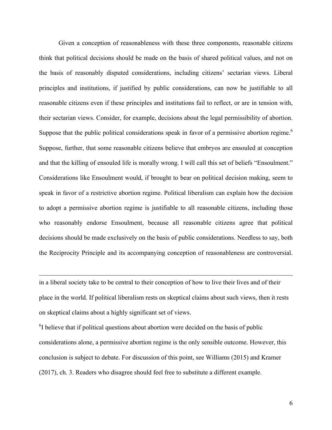Given a conception of reasonableness with these three components, reasonable citizens think that political decisions should be made on the basis of shared political values, and not on the basis of reasonably disputed considerations, including citizens' sectarian views. Liberal principles and institutions, if justified by public considerations, can now be justifiable to all reasonable citizens even if these principles and institutions fail to reflect, or are in tension with, their sectarian views. Consider, for example, decisions about the legal permissibility of abortion. Suppose that the public political considerations speak in favor of a permissive abortion regime.<sup>6</sup> Suppose, further, that some reasonable citizens believe that embryos are ensouled at conception and that the killing of ensouled life is morally wrong. I will call this set of beliefs "Ensoulment." Considerations like Ensoulment would, if brought to bear on political decision making, seem to speak in favor of a restrictive abortion regime. Political liberalism can explain how the decision to adopt a permissive abortion regime is justifiable to all reasonable citizens, including those who reasonably endorse Ensoulment, because all reasonable citizens agree that political decisions should be made exclusively on the basis of public considerations. Needless to say, both the Reciprocity Principle and its accompanying conception of reasonableness are controversial.

in a liberal society take to be central to their conception of how to live their lives and of their place in the world. If political liberalism rests on skeptical claims about such views, then it rests on skeptical claims about a highly significant set of views.

 $\overline{a}$ 

 ${}^{6}$ I believe that if political questions about abortion were decided on the basis of public considerations alone, a permissive abortion regime is the only sensible outcome. However, this conclusion is subject to debate. For discussion of this point, see Williams (2015) and Kramer (2017), ch. 3. Readers who disagree should feel free to substitute a different example.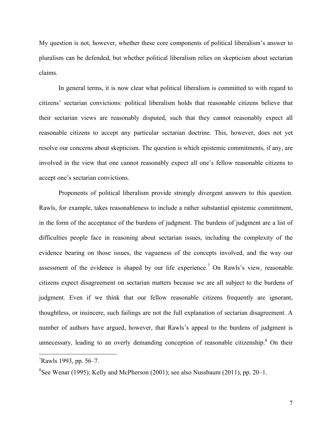My question is not, however, whether these core components of political liberalism's answer to pluralism can be defended, but whether political liberalism relies on skepticism about sectarian claims.

In general terms, it is now clear what political liberalism is committed to with regard to citizens' sectarian convictions: political liberalism holds that reasonable citizens believe that their sectarian views are reasonably disputed, such that they cannot reasonably expect all reasonable citizens to accept any particular sectarian doctrine. This, however, does not yet resolve our concerns about skepticism. The question is which epistemic commitments, if any, are involved in the view that one cannot reasonably expect all one's fellow reasonable citizens to accept one's sectarian convictions.

Proponents of political liberalism provide strongly divergent answers to this question. Rawls, for example, takes reasonableness to include a rather substantial epistemic commitment, in the form of the acceptance of the burdens of judgment. The burdens of judgment are a list of difficulties people face in reasoning about sectarian issues, including the complexity of the evidence bearing on those issues, the vagueness of the concepts involved, and the way our assessment of the evidence is shaped by our life experience.<sup>7</sup> On Rawls's view, reasonable citizens expect disagreement on sectarian matters because we are all subject to the burdens of judgment. Even if we think that our fellow reasonable citizens frequently are ignorant, thoughtless, or insincere, such failings are not the full explanation of sectarian disagreement. A number of authors have argued, however, that Rawls's appeal to the burdens of judgment is unnecessary, leading to an overly demanding conception of reasonable citizenship.<sup>8</sup> On their

<sup>-&</sup>lt;br>7  $\sqrt[7]{$ Rawls 1993, pp. 56–7.

<sup>&</sup>lt;sup>8</sup>See Wenar (1995); Kelly and McPherson (2001); see also Nussbaum (2011), pp. 20–1.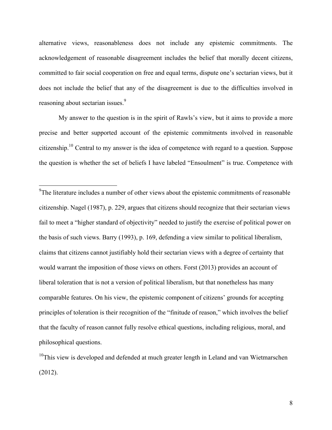alternative views, reasonableness does not include any epistemic commitments. The acknowledgement of reasonable disagreement includes the belief that morally decent citizens, committed to fair social cooperation on free and equal terms, dispute one's sectarian views, but it does not include the belief that any of the disagreement is due to the difficulties involved in reasoning about sectarian issues.<sup>9</sup>

My answer to the question is in the spirit of Rawls's view, but it aims to provide a more precise and better supported account of the epistemic commitments involved in reasonable citizenship.10 Central to my answer is the idea of competence with regard to a question. Suppose the question is whether the set of beliefs I have labeled "Ensoulment" is true. Competence with

<sup>9</sup>The literature includes a number of other views about the epistemic commitments of reasonable citizenship. Nagel (1987), p. 229, argues that citizens should recognize that their sectarian views fail to meet a "higher standard of objectivity" needed to justify the exercise of political power on the basis of such views. Barry (1993), p. 169, defending a view similar to political liberalism, claims that citizens cannot justifiably hold their sectarian views with a degree of certainty that would warrant the imposition of those views on others. Forst (2013) provides an account of liberal toleration that is not a version of political liberalism, but that nonetheless has many comparable features. On his view, the epistemic component of citizens' grounds for accepting principles of toleration is their recognition of the "finitude of reason," which involves the belief that the faculty of reason cannot fully resolve ethical questions, including religious, moral, and philosophical questions.

 $10$ This view is developed and defended at much greater length in Leland and van Wietmarschen (2012).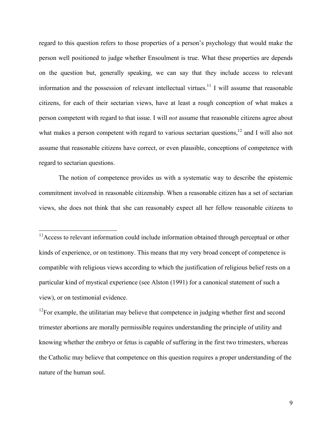regard to this question refers to those properties of a person's psychology that would make the person well positioned to judge whether Ensoulment is true. What these properties are depends on the question but, generally speaking, we can say that they include access to relevant information and the possession of relevant intellectual virtues.<sup>11</sup> I will assume that reasonable citizens, for each of their sectarian views, have at least a rough conception of what makes a person competent with regard to that issue. I will *not* assume that reasonable citizens agree about what makes a person competent with regard to various sectarian questions,  $12$  and I will also not assume that reasonable citizens have correct, or even plausible, conceptions of competence with regard to sectarian questions.

The notion of competence provides us with a systematic way to describe the epistemic commitment involved in reasonable citizenship. When a reasonable citizen has a set of sectarian views, she does not think that she can reasonably expect all her fellow reasonable citizens to

 $11$ Access to relevant information could include information obtained through perceptual or other kinds of experience, or on testimony. This means that my very broad concept of competence is compatible with religious views according to which the justification of religious belief rests on a particular kind of mystical experience (see Alston (1991) for a canonical statement of such a view), or on testimonial evidence.

 $12$ For example, the utilitarian may believe that competence in judging whether first and second trimester abortions are morally permissible requires understanding the principle of utility and knowing whether the embryo or fetus is capable of suffering in the first two trimesters, whereas the Catholic may believe that competence on this question requires a proper understanding of the nature of the human soul.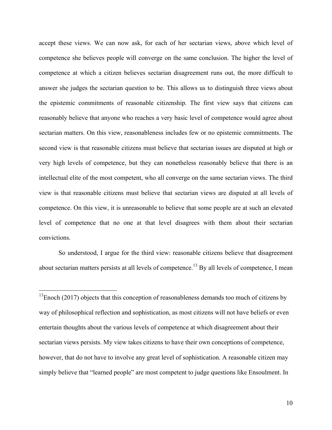accept these views. We can now ask, for each of her sectarian views, above which level of competence she believes people will converge on the same conclusion. The higher the level of competence at which a citizen believes sectarian disagreement runs out, the more difficult to answer she judges the sectarian question to be. This allows us to distinguish three views about the epistemic commitments of reasonable citizenship. The first view says that citizens can reasonably believe that anyone who reaches a very basic level of competence would agree about sectarian matters. On this view, reasonableness includes few or no epistemic commitments. The second view is that reasonable citizens must believe that sectarian issues are disputed at high or very high levels of competence, but they can nonetheless reasonably believe that there is an intellectual elite of the most competent, who all converge on the same sectarian views. The third view is that reasonable citizens must believe that sectarian views are disputed at all levels of competence. On this view, it is unreasonable to believe that some people are at such an elevated level of competence that no one at that level disagrees with them about their sectarian convictions.

So understood, I argue for the third view: reasonable citizens believe that disagreement about sectarian matters persists at all levels of competence.<sup>13</sup> By all levels of competence, I mean

 $13$ Enoch (2017) objects that this conception of reasonableness demands too much of citizens by way of philosophical reflection and sophistication, as most citizens will not have beliefs or even entertain thoughts about the various levels of competence at which disagreement about their sectarian views persists. My view takes citizens to have their own conceptions of competence, however, that do not have to involve any great level of sophistication. A reasonable citizen may simply believe that "learned people" are most competent to judge questions like Ensoulment. In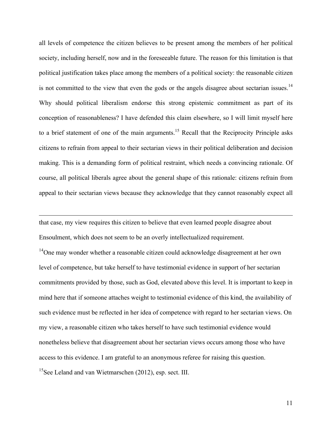all levels of competence the citizen believes to be present among the members of her political society, including herself, now and in the foreseeable future. The reason for this limitation is that political justification takes place among the members of a political society: the reasonable citizen is not committed to the view that even the gods or the angels disagree about sectarian issues.<sup>14</sup> Why should political liberalism endorse this strong epistemic commitment as part of its conception of reasonableness? I have defended this claim elsewhere, so I will limit myself here to a brief statement of one of the main arguments.<sup>15</sup> Recall that the Reciprocity Principle asks citizens to refrain from appeal to their sectarian views in their political deliberation and decision making. This is a demanding form of political restraint, which needs a convincing rationale. Of course, all political liberals agree about the general shape of this rationale: citizens refrain from appeal to their sectarian views because they acknowledge that they cannot reasonably expect all

that case, my view requires this citizen to believe that even learned people disagree about Ensoulment, which does not seem to be an overly intellectualized requirement.

 $\overline{a}$ 

<sup>14</sup>One may wonder whether a reasonable citizen could acknowledge disagreement at her own level of competence, but take herself to have testimonial evidence in support of her sectarian commitments provided by those, such as God, elevated above this level. It is important to keep in mind here that if someone attaches weight to testimonial evidence of this kind, the availability of such evidence must be reflected in her idea of competence with regard to her sectarian views. On my view, a reasonable citizen who takes herself to have such testimonial evidence would nonetheless believe that disagreement about her sectarian views occurs among those who have access to this evidence. I am grateful to an anonymous referee for raising this question. 15See Leland and van Wietmarschen (2012), esp. sect. III.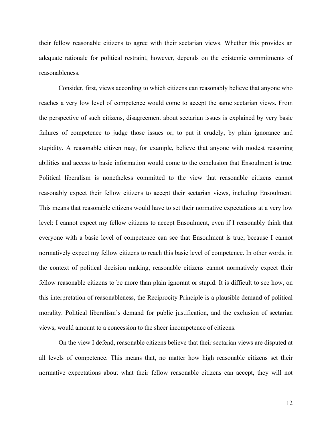their fellow reasonable citizens to agree with their sectarian views. Whether this provides an adequate rationale for political restraint, however, depends on the epistemic commitments of reasonableness.

Consider, first, views according to which citizens can reasonably believe that anyone who reaches a very low level of competence would come to accept the same sectarian views. From the perspective of such citizens, disagreement about sectarian issues is explained by very basic failures of competence to judge those issues or, to put it crudely, by plain ignorance and stupidity. A reasonable citizen may, for example, believe that anyone with modest reasoning abilities and access to basic information would come to the conclusion that Ensoulment is true. Political liberalism is nonetheless committed to the view that reasonable citizens cannot reasonably expect their fellow citizens to accept their sectarian views, including Ensoulment. This means that reasonable citizens would have to set their normative expectations at a very low level: I cannot expect my fellow citizens to accept Ensoulment, even if I reasonably think that everyone with a basic level of competence can see that Ensoulment is true, because I cannot normatively expect my fellow citizens to reach this basic level of competence. In other words, in the context of political decision making, reasonable citizens cannot normatively expect their fellow reasonable citizens to be more than plain ignorant or stupid. It is difficult to see how, on this interpretation of reasonableness, the Reciprocity Principle is a plausible demand of political morality. Political liberalism's demand for public justification, and the exclusion of sectarian views, would amount to a concession to the sheer incompetence of citizens.

On the view I defend, reasonable citizens believe that their sectarian views are disputed at all levels of competence. This means that, no matter how high reasonable citizens set their normative expectations about what their fellow reasonable citizens can accept, they will not

12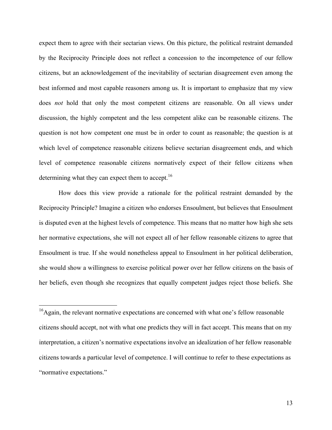expect them to agree with their sectarian views. On this picture, the political restraint demanded by the Reciprocity Principle does not reflect a concession to the incompetence of our fellow citizens, but an acknowledgement of the inevitability of sectarian disagreement even among the best informed and most capable reasoners among us. It is important to emphasize that my view does *not* hold that only the most competent citizens are reasonable. On all views under discussion, the highly competent and the less competent alike can be reasonable citizens. The question is not how competent one must be in order to count as reasonable; the question is at which level of competence reasonable citizens believe sectarian disagreement ends, and which level of competence reasonable citizens normatively expect of their fellow citizens when determining what they can expect them to accept. $16$ 

How does this view provide a rationale for the political restraint demanded by the Reciprocity Principle? Imagine a citizen who endorses Ensoulment, but believes that Ensoulment is disputed even at the highest levels of competence. This means that no matter how high she sets her normative expectations, she will not expect all of her fellow reasonable citizens to agree that Ensoulment is true. If she would nonetheless appeal to Ensoulment in her political deliberation, she would show a willingness to exercise political power over her fellow citizens on the basis of her beliefs, even though she recognizes that equally competent judges reject those beliefs. She

<sup>&</sup>lt;sup>16</sup>Again, the relevant normative expectations are concerned with what one's fellow reasonable citizens should accept, not with what one predicts they will in fact accept. This means that on my interpretation, a citizen's normative expectations involve an idealization of her fellow reasonable citizens towards a particular level of competence. I will continue to refer to these expectations as "normative expectations."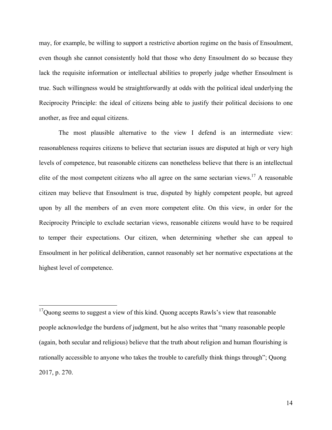may, for example, be willing to support a restrictive abortion regime on the basis of Ensoulment, even though she cannot consistently hold that those who deny Ensoulment do so because they lack the requisite information or intellectual abilities to properly judge whether Ensoulment is true. Such willingness would be straightforwardly at odds with the political ideal underlying the Reciprocity Principle: the ideal of citizens being able to justify their political decisions to one another, as free and equal citizens.

The most plausible alternative to the view I defend is an intermediate view: reasonableness requires citizens to believe that sectarian issues are disputed at high or very high levels of competence, but reasonable citizens can nonetheless believe that there is an intellectual elite of the most competent citizens who all agree on the same sectarian views.<sup>17</sup> A reasonable citizen may believe that Ensoulment is true, disputed by highly competent people, but agreed upon by all the members of an even more competent elite. On this view, in order for the Reciprocity Principle to exclude sectarian views, reasonable citizens would have to be required to temper their expectations. Our citizen, when determining whether she can appeal to Ensoulment in her political deliberation, cannot reasonably set her normative expectations at the highest level of competence.

<sup>17</sup>Quong seems to suggest a view of this kind. Quong accepts Rawls's view that reasonable people acknowledge the burdens of judgment, but he also writes that "many reasonable people (again, both secular and religious) believe that the truth about religion and human flourishing is rationally accessible to anyone who takes the trouble to carefully think things through"; Quong 2017, p. 270.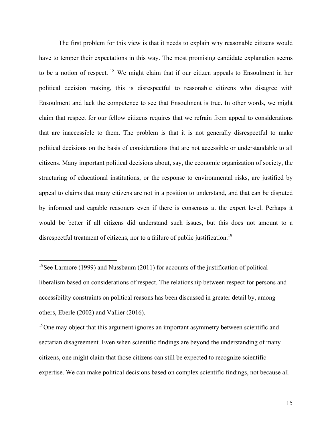The first problem for this view is that it needs to explain why reasonable citizens would have to temper their expectations in this way. The most promising candidate explanation seems to be a notion of respect. <sup>18</sup> We might claim that if our citizen appeals to Ensoulment in her political decision making, this is disrespectful to reasonable citizens who disagree with Ensoulment and lack the competence to see that Ensoulment is true. In other words, we might claim that respect for our fellow citizens requires that we refrain from appeal to considerations that are inaccessible to them. The problem is that it is not generally disrespectful to make political decisions on the basis of considerations that are not accessible or understandable to all citizens. Many important political decisions about, say, the economic organization of society, the structuring of educational institutions, or the response to environmental risks, are justified by appeal to claims that many citizens are not in a position to understand, and that can be disputed by informed and capable reasoners even if there is consensus at the expert level. Perhaps it would be better if all citizens did understand such issues, but this does not amount to a disrespectful treatment of citizens, nor to a failure of public justification.<sup>19</sup>

<sup>19</sup>One may object that this argument ignores an important asymmetry between scientific and sectarian disagreement. Even when scientific findings are beyond the understanding of many citizens, one might claim that those citizens can still be expected to recognize scientific expertise. We can make political decisions based on complex scientific findings, not because all

15

<sup>&</sup>lt;sup>18</sup>See Larmore (1999) and Nussbaum (2011) for accounts of the justification of political liberalism based on considerations of respect. The relationship between respect for persons and accessibility constraints on political reasons has been discussed in greater detail by, among others, Eberle (2002) and Vallier (2016).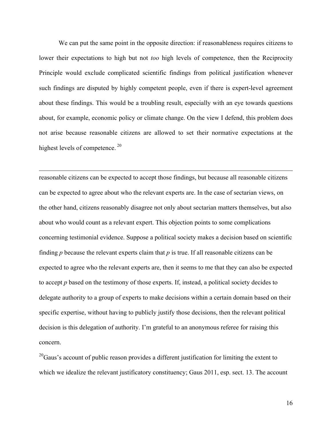We can put the same point in the opposite direction: if reasonableness requires citizens to lower their expectations to high but not *too* high levels of competence, then the Reciprocity Principle would exclude complicated scientific findings from political justification whenever such findings are disputed by highly competent people, even if there is expert-level agreement about these findings. This would be a troubling result, especially with an eye towards questions about, for example, economic policy or climate change. On the view I defend, this problem does not arise because reasonable citizens are allowed to set their normative expectations at the highest levels of competence.<sup>20</sup>

 $\overline{a}$ 

reasonable citizens can be expected to accept those findings, but because all reasonable citizens can be expected to agree about who the relevant experts are. In the case of sectarian views, on the other hand, citizens reasonably disagree not only about sectarian matters themselves, but also about who would count as a relevant expert. This objection points to some complications concerning testimonial evidence. Suppose a political society makes a decision based on scientific finding *p* because the relevant experts claim that *p* is true. If all reasonable citizens can be expected to agree who the relevant experts are, then it seems to me that they can also be expected to accept *p* based on the testimony of those experts. If, instead, a political society decides to delegate authority to a group of experts to make decisions within a certain domain based on their specific expertise, without having to publicly justify those decisions, then the relevant political decision is this delegation of authority. I'm grateful to an anonymous referee for raising this concern.

 $20<sup>20</sup>$ Gaus's account of public reason provides a different justification for limiting the extent to which we idealize the relevant justificatory constituency; Gaus 2011, esp. sect. 13. The account

16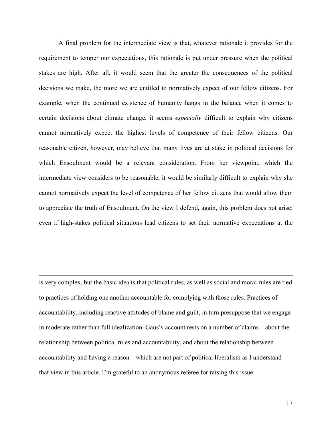A final problem for the intermediate view is that, whatever rationale it provides for the requirement to temper our expectations, this rationale is put under pressure when the political stakes are high. After all, it would seem that the greater the consequences of the political decisions we make, the more we are entitled to normatively expect of our fellow citizens. For example, when the continued existence of humanity hangs in the balance when it comes to certain decisions about climate change, it seems *especially* difficult to explain why citizens cannot normatively expect the highest levels of competence of their fellow citizens. Our reasonable citizen, however, may believe that many lives are at stake in political decisions for which Ensoulment would be a relevant consideration. From her viewpoint, which the intermediate view considers to be reasonable, it would be similarly difficult to explain why she cannot normatively expect the level of competence of her fellow citizens that would allow them to appreciate the truth of Ensoulment. On the view I defend, again, this problem does not arise: even if high-stakes political situations lead citizens to set their normative expectations at the

is very complex, but the basic idea is that political rules, as well as social and moral rules are tied to practices of holding one another accountable for complying with those rules. Practices of accountability, including reactive attitudes of blame and guilt, in turn presuppose that we engage in moderate rather than full idealization. Gaus's account rests on a number of claims—about the relationship between political rules and accountability, and about the relationship between accountability and having a reason—which are not part of political liberalism as I understand that view in this article. I'm grateful to an anonymous referee for raising this issue.

 $\overline{a}$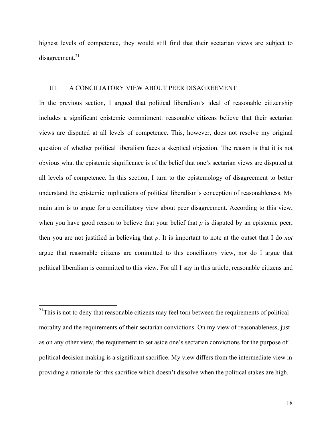highest levels of competence, they would still find that their sectarian views are subject to disagreement.<sup>21</sup>

### III. A CONCILIATORY VIEW ABOUT PEER DISAGREEMENT

In the previous section, I argued that political liberalism's ideal of reasonable citizenship includes a significant epistemic commitment: reasonable citizens believe that their sectarian views are disputed at all levels of competence. This, however, does not resolve my original question of whether political liberalism faces a skeptical objection. The reason is that it is not obvious what the epistemic significance is of the belief that one's sectarian views are disputed at all levels of competence. In this section, I turn to the epistemology of disagreement to better understand the epistemic implications of political liberalism's conception of reasonableness. My main aim is to argue for a conciliatory view about peer disagreement. According to this view, when you have good reason to believe that your belief that *p* is disputed by an epistemic peer, then you are not justified in believing that *p*. It is important to note at the outset that I do *not* argue that reasonable citizens are committed to this conciliatory view, nor do I argue that political liberalism is committed to this view. For all I say in this article, reasonable citizens and

 $^{21}$ This is not to deny that reasonable citizens may feel torn between the requirements of political morality and the requirements of their sectarian convictions. On my view of reasonableness, just as on any other view, the requirement to set aside one's sectarian convictions for the purpose of political decision making is a significant sacrifice. My view differs from the intermediate view in providing a rationale for this sacrifice which doesn't dissolve when the political stakes are high.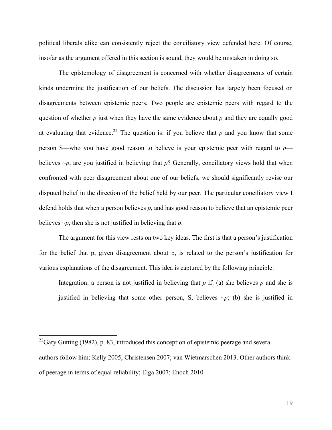political liberals alike can consistently reject the conciliatory view defended here. Of course, insofar as the argument offered in this section is sound, they would be mistaken in doing so.

The epistemology of disagreement is concerned with whether disagreements of certain kinds undermine the justification of our beliefs. The discussion has largely been focused on disagreements between epistemic peers. Two people are epistemic peers with regard to the question of whether *p* just when they have the same evidence about *p* and they are equally good at evaluating that evidence.<sup>22</sup> The question is: if you believe that *p* and you know that some person S—who you have good reason to believe is your epistemic peer with regard to *p* believes  $\neg p$ , are you justified in believing that  $p$ ? Generally, conciliatory views hold that when confronted with peer disagreement about one of our beliefs, we should significantly revise our disputed belief in the direction of the belief held by our peer. The particular conciliatory view I defend holds that when a person believes *p*, and has good reason to believe that an epistemic peer believes  $\neg p$ , then she is not justified in believing that *p*.

The argument for this view rests on two key ideas. The first is that a person's justification for the belief that p, given disagreement about p, is related to the person's justification for various explanations of the disagreement. This idea is captured by the following principle:

Integration: a person is not justified in believing that *p* if: (a) she believes *p* and she is justified in believing that some other person, S, believes  $\neg p$ ; (b) she is justified in

 $^{22}$ Gary Gutting (1982), p. 83, introduced this conception of epistemic peerage and several authors follow him; Kelly 2005; Christensen 2007; van Wietmarschen 2013. Other authors think of peerage in terms of equal reliability; Elga 2007; Enoch 2010.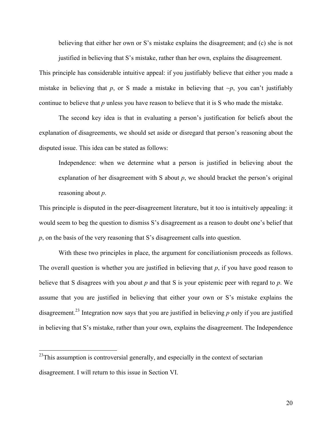believing that either her own or S's mistake explains the disagreement; and (c) she is not justified in believing that S's mistake, rather than her own, explains the disagreement.

This principle has considerable intuitive appeal: if you justifiably believe that either you made a mistake in believing that  $p$ , or S made a mistake in believing that  $\neg p$ , you can't justifiably continue to believe that *p* unless you have reason to believe that it is S who made the mistake.

The second key idea is that in evaluating a person's justification for beliefs about the explanation of disagreements, we should set aside or disregard that person's reasoning about the disputed issue. This idea can be stated as follows:

Independence: when we determine what a person is justified in believing about the explanation of her disagreement with S about *p*, we should bracket the person's original reasoning about *p*.

This principle is disputed in the peer-disagreement literature, but it too is intuitively appealing: it would seem to beg the question to dismiss S's disagreement as a reason to doubt one's belief that *p*, on the basis of the very reasoning that S's disagreement calls into question.

With these two principles in place, the argument for conciliationism proceeds as follows. The overall question is whether you are justified in believing that *p*, if you have good reason to believe that S disagrees with you about *p* and that S is your epistemic peer with regard to *p*. We assume that you are justified in believing that either your own or S's mistake explains the disagreement.23 Integration now says that you are justified in believing *p* only if you are justified in believing that S's mistake, rather than your own, explains the disagreement. The Independence

 $23$ This assumption is controversial generally, and especially in the context of sectarian disagreement. I will return to this issue in Section VI.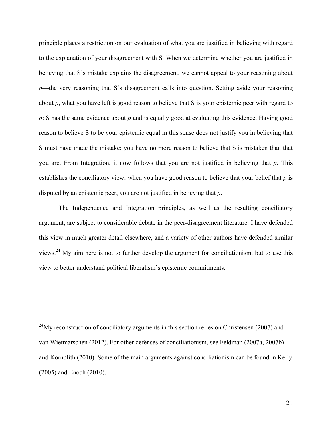principle places a restriction on our evaluation of what you are justified in believing with regard to the explanation of your disagreement with S. When we determine whether you are justified in believing that S's mistake explains the disagreement, we cannot appeal to your reasoning about *p*—the very reasoning that S's disagreement calls into question. Setting aside your reasoning about *p*, what you have left is good reason to believe that S is your epistemic peer with regard to *p*: S has the same evidence about *p* and is equally good at evaluating this evidence. Having good reason to believe S to be your epistemic equal in this sense does not justify you in believing that S must have made the mistake: you have no more reason to believe that S is mistaken than that you are. From Integration, it now follows that you are not justified in believing that *p*. This establishes the conciliatory view: when you have good reason to believe that your belief that *p* is disputed by an epistemic peer, you are not justified in believing that *p*.

The Independence and Integration principles, as well as the resulting conciliatory argument, are subject to considerable debate in the peer-disagreement literature. I have defended this view in much greater detail elsewhere, and a variety of other authors have defended similar views.<sup>24</sup> My aim here is not to further develop the argument for conciliationism, but to use this view to better understand political liberalism's epistemic commitments.

 $^{24}$ My reconstruction of conciliatory arguments in this section relies on Christensen (2007) and van Wietmarschen (2012). For other defenses of conciliationism, see Feldman (2007a, 2007b) and Kornblith (2010). Some of the main arguments against conciliationism can be found in Kelly (2005) and Enoch (2010).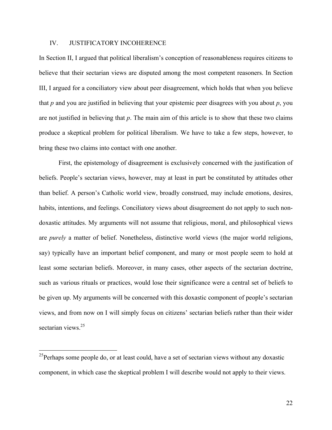# IV. JUSTIFICATORY INCOHERENCE

In Section II, I argued that political liberalism's conception of reasonableness requires citizens to believe that their sectarian views are disputed among the most competent reasoners. In Section III, I argued for a conciliatory view about peer disagreement, which holds that when you believe that *p* and you are justified in believing that your epistemic peer disagrees with you about *p*, you are not justified in believing that *p*. The main aim of this article is to show that these two claims produce a skeptical problem for political liberalism. We have to take a few steps, however, to bring these two claims into contact with one another.

First, the epistemology of disagreement is exclusively concerned with the justification of beliefs. People's sectarian views, however, may at least in part be constituted by attitudes other than belief. A person's Catholic world view, broadly construed, may include emotions, desires, habits, intentions, and feelings. Conciliatory views about disagreement do not apply to such nondoxastic attitudes. My arguments will not assume that religious, moral, and philosophical views are *purely* a matter of belief. Nonetheless, distinctive world views (the major world religions, say) typically have an important belief component, and many or most people seem to hold at least some sectarian beliefs. Moreover, in many cases, other aspects of the sectarian doctrine, such as various rituals or practices, would lose their significance were a central set of beliefs to be given up. My arguments will be concerned with this doxastic component of people's sectarian views, and from now on I will simply focus on citizens' sectarian beliefs rather than their wider sectarian views.<sup>25</sup>

<sup>&</sup>lt;sup>25</sup>Perhaps some people do, or at least could, have a set of sectarian views without any doxastic component, in which case the skeptical problem I will describe would not apply to their views.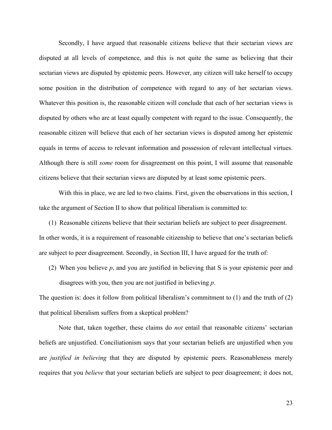Secondly, I have argued that reasonable citizens believe that their sectarian views are disputed at all levels of competence, and this is not quite the same as believing that their sectarian views are disputed by epistemic peers. However, any citizen will take herself to occupy some position in the distribution of competence with regard to any of her sectarian views. Whatever this position is, the reasonable citizen will conclude that each of her sectarian views is disputed by others who are at least equally competent with regard to the issue. Consequently, the reasonable citizen will believe that each of her sectarian views is disputed among her epistemic equals in terms of access to relevant information and possession of relevant intellectual virtues. Although there is still *some* room for disagreement on this point, I will assume that reasonable citizens believe that their sectarian views are disputed by at least some epistemic peers.

With this in place, we are led to two claims. First, given the observations in this section, I take the argument of Section II to show that political liberalism is committed to:

(1) Reasonable citizens believe that their sectarian beliefs are subject to peer disagreement. In other words, it is a requirement of reasonable citizenship to believe that one's sectarian beliefs are subject to peer disagreement. Secondly, in Section III, I have argued for the truth of:

(2) When you believe *p*, and you are justified in believing that S is your epistemic peer and disagrees with you, then you are not justified in believing *p*.

The question is: does it follow from political liberalism's commitment to (1) and the truth of (2) that political liberalism suffers from a skeptical problem?

Note that, taken together, these claims do *not* entail that reasonable citizens' sectarian beliefs are unjustified. Conciliationism says that your sectarian beliefs are unjustified when you are *justified in believing* that they are disputed by epistemic peers. Reasonableness merely requires that you *believe* that your sectarian beliefs are subject to peer disagreement; it does not,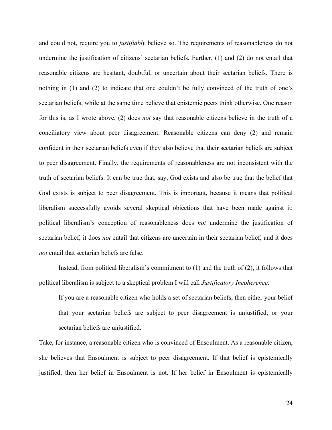and could not, require you to *justifiably* believe so. The requirements of reasonableness do not undermine the justification of citizens' sectarian beliefs. Further, (1) and (2) do not entail that reasonable citizens are hesitant, doubtful, or uncertain about their sectarian beliefs. There is nothing in (1) and (2) to indicate that one couldn't be fully convinced of the truth of one's sectarian beliefs, while at the same time believe that epistemic peers think otherwise. One reason for this is, as I wrote above, (2) does *not* say that reasonable citizens believe in the truth of a conciliatory view about peer disagreement. Reasonable citizens can deny (2) and remain confident in their sectarian beliefs even if they also believe that their sectarian beliefs are subject to peer disagreement. Finally, the requirements of reasonableness are not inconsistent with the truth of sectarian beliefs. It can be true that, say, God exists and also be true that the belief that God exists is subject to peer disagreement. This is important, because it means that political liberalism successfully avoids several skeptical objections that have been made against it: political liberalism's conception of reasonableness does *not* undermine the justification of sectarian belief; it does *not* entail that citizens are uncertain in their sectarian belief; and it does *not* entail that sectarian beliefs are false.

Instead, from political liberalism's commitment to (1) and the truth of (2), it follows that political liberalism is subject to a skeptical problem I will call *Justificatory Incoherence*:

If you are a reasonable citizen who holds a set of sectarian beliefs, then either your belief that your sectarian beliefs are subject to peer disagreement is unjustified, or your sectarian beliefs are unjustified.

Take, for instance, a reasonable citizen who is convinced of Ensoulment. As a reasonable citizen, she believes that Ensoulment is subject to peer disagreement. If that belief is epistemically justified, then her belief in Ensoulment is not. If her belief in Ensoulment is epistemically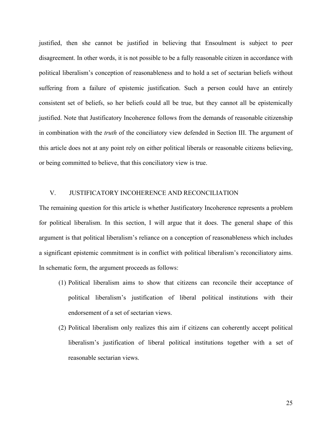justified, then she cannot be justified in believing that Ensoulment is subject to peer disagreement. In other words, it is not possible to be a fully reasonable citizen in accordance with political liberalism's conception of reasonableness and to hold a set of sectarian beliefs without suffering from a failure of epistemic justification. Such a person could have an entirely consistent set of beliefs, so her beliefs could all be true, but they cannot all be epistemically justified. Note that Justificatory Incoherence follows from the demands of reasonable citizenship in combination with the *truth* of the conciliatory view defended in Section III. The argument of this article does not at any point rely on either political liberals or reasonable citizens believing, or being committed to believe, that this conciliatory view is true.

## V. JUSTIFICATORY INCOHERENCE AND RECONCILIATION

The remaining question for this article is whether Justificatory Incoherence represents a problem for political liberalism. In this section, I will argue that it does. The general shape of this argument is that political liberalism's reliance on a conception of reasonableness which includes a significant epistemic commitment is in conflict with political liberalism's reconciliatory aims. In schematic form, the argument proceeds as follows:

- (1) Political liberalism aims to show that citizens can reconcile their acceptance of political liberalism's justification of liberal political institutions with their endorsement of a set of sectarian views.
- (2) Political liberalism only realizes this aim if citizens can coherently accept political liberalism's justification of liberal political institutions together with a set of reasonable sectarian views.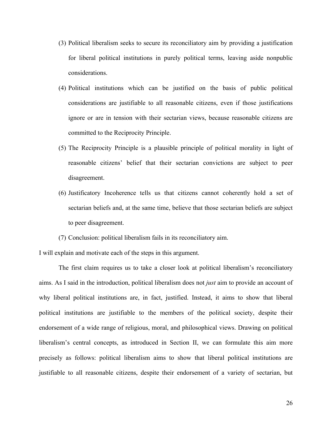- (3) Political liberalism seeks to secure its reconciliatory aim by providing a justification for liberal political institutions in purely political terms, leaving aside nonpublic considerations.
- (4) Political institutions which can be justified on the basis of public political considerations are justifiable to all reasonable citizens, even if those justifications ignore or are in tension with their sectarian views, because reasonable citizens are committed to the Reciprocity Principle.
- (5) The Reciprocity Principle is a plausible principle of political morality in light of reasonable citizens' belief that their sectarian convictions are subject to peer disagreement.
- (6) Justificatory Incoherence tells us that citizens cannot coherently hold a set of sectarian beliefs and, at the same time, believe that those sectarian beliefs are subject to peer disagreement.
- (7) Conclusion: political liberalism fails in its reconciliatory aim.

I will explain and motivate each of the steps in this argument.

The first claim requires us to take a closer look at political liberalism's reconciliatory aims. As I said in the introduction, political liberalism does not *just* aim to provide an account of why liberal political institutions are, in fact, justified. Instead, it aims to show that liberal political institutions are justifiable to the members of the political society, despite their endorsement of a wide range of religious, moral, and philosophical views. Drawing on political liberalism's central concepts, as introduced in Section II, we can formulate this aim more precisely as follows: political liberalism aims to show that liberal political institutions are justifiable to all reasonable citizens, despite their endorsement of a variety of sectarian, but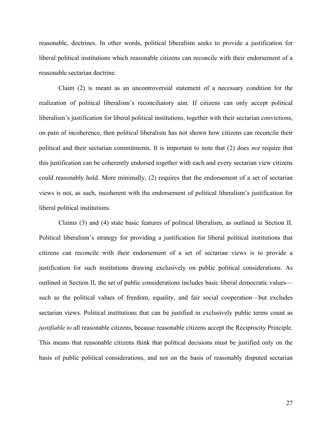reasonable, doctrines. In other words, political liberalism seeks to provide a justification for liberal political institutions which reasonable citizens can reconcile with their endorsement of a reasonable sectarian doctrine.

Claim (2) is meant as an uncontroversial statement of a necessary condition for the realization of political liberalism's reconciliatory aim. If citizens can only accept political liberalism's justification for liberal political institutions, together with their sectarian convictions, on pain of incoherence, then political liberalism has not shown how citizens can reconcile their political and their sectarian commitments. It is important to note that (2) does *not* require that this justification can be coherently endorsed together with each and every sectarian view citizens could reasonably hold. More minimally, (2) requires that the endorsement of a set of sectarian views is not, as such, incoherent with the endorsement of political liberalism's justification for liberal political institutions.

Claims (3) and (4) state basic features of political liberalism, as outlined in Section II. Political liberalism's strategy for providing a justification for liberal political institutions that citizens can reconcile with their endorsement of a set of sectarian views is to provide a justification for such institutions drawing exclusively on public political considerations. As outlined in Section II, the set of public considerations includes basic liberal democratic values such as the political values of freedom, equality, and fair social cooperation—but excludes sectarian views. Political institutions that can be justified in exclusively public terms count as *justifiable to* all reasonable citizens, because reasonable citizens accept the Reciprocity Principle. This means that reasonable citizens think that political decisions must be justified only on the basis of public political considerations, and not on the basis of reasonably disputed sectarian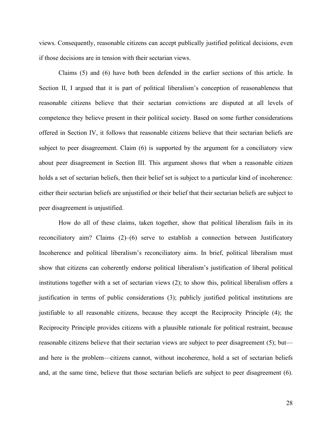views. Consequently, reasonable citizens can accept publically justified political decisions, even if those decisions are in tension with their sectarian views.

Claims (5) and (6) have both been defended in the earlier sections of this article. In Section II, I argued that it is part of political liberalism's conception of reasonableness that reasonable citizens believe that their sectarian convictions are disputed at all levels of competence they believe present in their political society. Based on some further considerations offered in Section IV, it follows that reasonable citizens believe that their sectarian beliefs are subject to peer disagreement. Claim (6) is supported by the argument for a conciliatory view about peer disagreement in Section III. This argument shows that when a reasonable citizen holds a set of sectarian beliefs, then their belief set is subject to a particular kind of incoherence: either their sectarian beliefs are unjustified or their belief that their sectarian beliefs are subject to peer disagreement is unjustified.

How do all of these claims, taken together, show that political liberalism fails in its reconciliatory aim? Claims  $(2)$ – $(6)$  serve to establish a connection between Justificatory Incoherence and political liberalism's reconciliatory aims. In brief, political liberalism must show that citizens can coherently endorse political liberalism's justification of liberal political institutions together with a set of sectarian views (2); to show this, political liberalism offers a justification in terms of public considerations (3); publicly justified political institutions are justifiable to all reasonable citizens, because they accept the Reciprocity Principle (4); the Reciprocity Principle provides citizens with a plausible rationale for political restraint, because reasonable citizens believe that their sectarian views are subject to peer disagreement (5); but and here is the problem—citizens cannot, without incoherence, hold a set of sectarian beliefs and, at the same time, believe that those sectarian beliefs are subject to peer disagreement (6).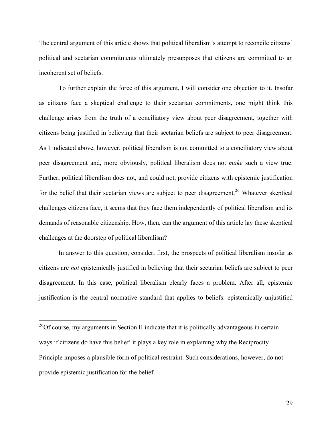The central argument of this article shows that political liberalism's attempt to reconcile citizens' political and sectarian commitments ultimately presupposes that citizens are committed to an incoherent set of beliefs.

To further explain the force of this argument, I will consider one objection to it. Insofar as citizens face a skeptical challenge to their sectarian commitments, one might think this challenge arises from the truth of a conciliatory view about peer disagreement, together with citizens being justified in believing that their sectarian beliefs are subject to peer disagreement. As I indicated above, however, political liberalism is not committed to a conciliatory view about peer disagreement and, more obviously, political liberalism does not *make* such a view true. Further, political liberalism does not, and could not, provide citizens with epistemic justification for the belief that their sectarian views are subject to peer disagreement.<sup>26</sup> Whatever skeptical challenges citizens face, it seems that they face them independently of political liberalism and its demands of reasonable citizenship. How, then, can the argument of this article lay these skeptical challenges at the doorstep of political liberalism?

In answer to this question, consider, first, the prospects of political liberalism insofar as citizens are *not* epistemically justified in believing that their sectarian beliefs are subject to peer disagreement. In this case, political liberalism clearly faces a problem. After all, epistemic justification is the central normative standard that applies to beliefs: epistemically unjustified

 $^{26}$ Of course, my arguments in Section II indicate that it is politically advantageous in certain ways if citizens do have this belief: it plays a key role in explaining why the Reciprocity Principle imposes a plausible form of political restraint. Such considerations, however, do not provide epistemic justification for the belief.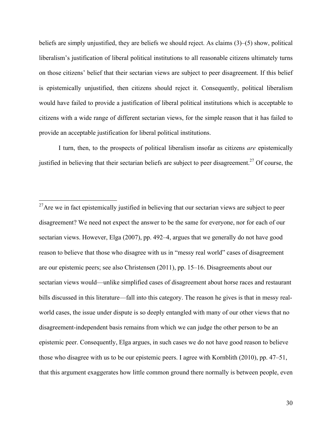beliefs are simply unjustified, they are beliefs we should reject. As claims (3)–(5) show, political liberalism's justification of liberal political institutions to all reasonable citizens ultimately turns on those citizens' belief that their sectarian views are subject to peer disagreement. If this belief is epistemically unjustified, then citizens should reject it. Consequently, political liberalism would have failed to provide a justification of liberal political institutions which is acceptable to citizens with a wide range of different sectarian views, for the simple reason that it has failed to provide an acceptable justification for liberal political institutions.

I turn, then, to the prospects of political liberalism insofar as citizens *are* epistemically justified in believing that their sectarian beliefs are subject to peer disagreement.<sup>27</sup> Of course, the

 $27$ Are we in fact epistemically justified in believing that our sectarian views are subject to peer disagreement? We need not expect the answer to be the same for everyone, nor for each of our sectarian views. However, Elga (2007), pp. 492–4, argues that we generally do not have good reason to believe that those who disagree with us in "messy real world" cases of disagreement are our epistemic peers; see also Christensen  $(2011)$ , pp. 15–16. Disagreements about our sectarian views would—unlike simplified cases of disagreement about horse races and restaurant bills discussed in this literature—fall into this category. The reason he gives is that in messy realworld cases, the issue under dispute is so deeply entangled with many of our other views that no disagreement-independent basis remains from which we can judge the other person to be an epistemic peer. Consequently, Elga argues, in such cases we do not have good reason to believe those who disagree with us to be our epistemic peers. I agree with Kornblith (2010), pp. 47–51, that this argument exaggerates how little common ground there normally is between people, even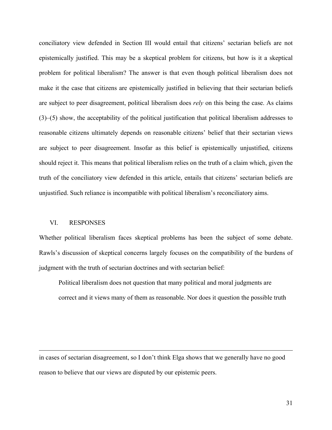conciliatory view defended in Section III would entail that citizens' sectarian beliefs are not epistemically justified. This may be a skeptical problem for citizens, but how is it a skeptical problem for political liberalism? The answer is that even though political liberalism does not make it the case that citizens are epistemically justified in believing that their sectarian beliefs are subject to peer disagreement, political liberalism does *rely* on this being the case. As claims (3)–(5) show, the acceptability of the political justification that political liberalism addresses to reasonable citizens ultimately depends on reasonable citizens' belief that their sectarian views are subject to peer disagreement. Insofar as this belief is epistemically unjustified, citizens should reject it. This means that political liberalism relies on the truth of a claim which, given the truth of the conciliatory view defended in this article, entails that citizens' sectarian beliefs are unjustified. Such reliance is incompatible with political liberalism's reconciliatory aims.

## VI. RESPONSES

 $\overline{a}$ 

Whether political liberalism faces skeptical problems has been the subject of some debate. Rawls's discussion of skeptical concerns largely focuses on the compatibility of the burdens of judgment with the truth of sectarian doctrines and with sectarian belief:

Political liberalism does not question that many political and moral judgments are correct and it views many of them as reasonable. Nor does it question the possible truth

in cases of sectarian disagreement, so I don't think Elga shows that we generally have no good reason to believe that our views are disputed by our epistemic peers.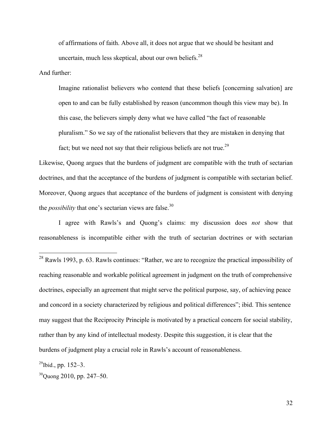of affirmations of faith. Above all, it does not argue that we should be hesitant and uncertain, much less skeptical, about our own beliefs. $28$ 

And further:

Imagine rationalist believers who contend that these beliefs [concerning salvation] are open to and can be fully established by reason (uncommon though this view may be). In this case, the believers simply deny what we have called "the fact of reasonable pluralism." So we say of the rationalist believers that they are mistaken in denying that fact; but we need not say that their religious beliefs are not true.<sup>29</sup>

Likewise, Quong argues that the burdens of judgment are compatible with the truth of sectarian doctrines, and that the acceptance of the burdens of judgment is compatible with sectarian belief. Moreover, Quong argues that acceptance of the burdens of judgment is consistent with denying the *possibility* that one's sectarian views are false. 30

I agree with Rawls's and Quong's claims: my discussion does *not* show that reasonableness is incompatible either with the truth of sectarian doctrines or with sectarian

<sup>&</sup>lt;sup>28</sup> Rawls 1993, p. 63. Rawls continues: "Rather, we are to recognize the practical impossibility of reaching reasonable and workable political agreement in judgment on the truth of comprehensive doctrines, especially an agreement that might serve the political purpose, say, of achieving peace and concord in a society characterized by religious and political differences"; ibid. This sentence may suggest that the Reciprocity Principle is motivated by a practical concern for social stability, rather than by any kind of intellectual modesty. Despite this suggestion, it is clear that the burdens of judgment play a crucial role in Rawls's account of reasonableness.

 $^{29}$ Ibid., pp. 152–3.

 $30$ Quong 2010, pp. 247–50.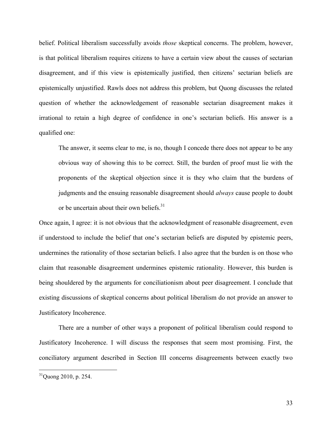belief. Political liberalism successfully avoids *those* skeptical concerns. The problem, however, is that political liberalism requires citizens to have a certain view about the causes of sectarian disagreement, and if this view is epistemically justified, then citizens' sectarian beliefs are epistemically unjustified. Rawls does not address this problem, but Quong discusses the related question of whether the acknowledgement of reasonable sectarian disagreement makes it irrational to retain a high degree of confidence in one's sectarian beliefs. His answer is a qualified one:

The answer, it seems clear to me, is no, though I concede there does not appear to be any obvious way of showing this to be correct. Still, the burden of proof must lie with the proponents of the skeptical objection since it is they who claim that the burdens of judgments and the ensuing reasonable disagreement should *always* cause people to doubt or be uncertain about their own beliefs.<sup>31</sup>

Once again, I agree: it is not obvious that the acknowledgment of reasonable disagreement, even if understood to include the belief that one's sectarian beliefs are disputed by epistemic peers, undermines the rationality of those sectarian beliefs. I also agree that the burden is on those who claim that reasonable disagreement undermines epistemic rationality. However, this burden is being shouldered by the arguments for conciliationism about peer disagreement. I conclude that existing discussions of skeptical concerns about political liberalism do not provide an answer to Justificatory Incoherence.

There are a number of other ways a proponent of political liberalism could respond to Justificatory Incoherence. I will discuss the responses that seem most promising. First, the conciliatory argument described in Section III concerns disagreements between exactly two

 $31$ Quong 2010, p. 254.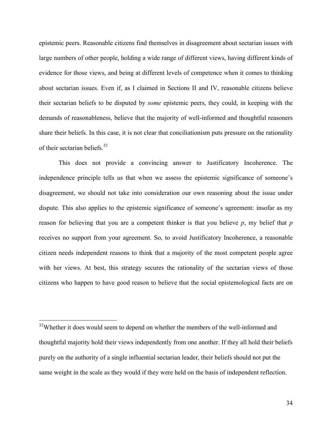epistemic peers. Reasonable citizens find themselves in disagreement about sectarian issues with large numbers of other people, holding a wide range of different views, having different kinds of evidence for those views, and being at different levels of competence when it comes to thinking about sectarian issues. Even if, as I claimed in Sections II and IV, reasonable citizens believe their sectarian beliefs to be disputed by *some* epistemic peers, they could, in keeping with the demands of reasonableness, believe that the majority of well-informed and thoughtful reasoners share their beliefs. In this case, it is not clear that conciliationism puts pressure on the rationality of their sectarian beliefs.<sup>32</sup>

This does not provide a convincing answer to Justificatory Incoherence. The independence principle tells us that when we assess the epistemic significance of someone's disagreement, we should not take into consideration our own reasoning about the issue under dispute. This also applies to the epistemic significance of someone's agreement: insofar as my reason for believing that you are a competent thinker is that you believe *p*, my belief that *p* receives no support from your agreement. So, to avoid Justificatory Incoherence, a reasonable citizen needs independent reasons to think that a majority of the most competent people agree with her views. At best, this strategy secures the rationality of the sectarian views of those citizens who happen to have good reason to believe that the social epistemological facts are on

<sup>&</sup>lt;sup>32</sup>Whether it does would seem to depend on whether the members of the well-informed and thoughtful majority hold their views independently from one another. If they all hold their beliefs purely on the authority of a single influential sectarian leader, their beliefs should not put the same weight in the scale as they would if they were held on the basis of independent reflection.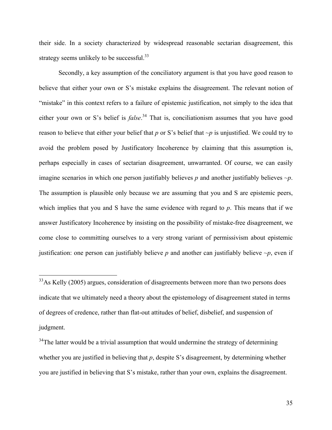their side. In a society characterized by widespread reasonable sectarian disagreement, this strategy seems unlikely to be successful.<sup>33</sup>

Secondly, a key assumption of the conciliatory argument is that you have good reason to believe that either your own or S's mistake explains the disagreement. The relevant notion of "mistake" in this context refers to a failure of epistemic justification, not simply to the idea that either your own or S's belief is *false*. <sup>34</sup> That is, conciliationism assumes that you have good reason to believe that either your belief that  $p$  or S's belief that  $\neg p$  is unjustified. We could try to avoid the problem posed by Justificatory Incoherence by claiming that this assumption is, perhaps especially in cases of sectarian disagreement, unwarranted. Of course, we can easily imagine scenarios in which one person justifiably believes  $p$  and another justifiably believes  $\neg p$ . The assumption is plausible only because we are assuming that you and S are epistemic peers, which implies that you and S have the same evidence with regard to *p*. This means that if we answer Justificatory Incoherence by insisting on the possibility of mistake-free disagreement, we come close to committing ourselves to a very strong variant of permissivism about epistemic justification: one person can justifiably believe *p* and another can justifiably believe  $\neg p$ , even if

 $33$ As Kelly (2005) argues, consideration of disagreements between more than two persons does indicate that we ultimately need a theory about the epistemology of disagreement stated in terms of degrees of credence, rather than flat-out attitudes of belief, disbelief, and suspension of judgment.

 $34$ The latter would be a trivial assumption that would undermine the strategy of determining whether you are justified in believing that *p*, despite S's disagreement, by determining whether you are justified in believing that S's mistake, rather than your own, explains the disagreement.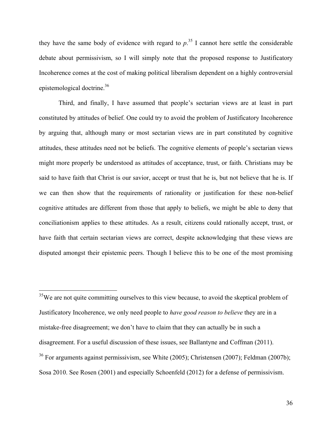they have the same body of evidence with regard to  $p<sup>35</sup>$  I cannot here settle the considerable debate about permissivism, so I will simply note that the proposed response to Justificatory Incoherence comes at the cost of making political liberalism dependent on a highly controversial epistemological doctrine.36

Third, and finally, I have assumed that people's sectarian views are at least in part constituted by attitudes of belief. One could try to avoid the problem of Justificatory Incoherence by arguing that, although many or most sectarian views are in part constituted by cognitive attitudes, these attitudes need not be beliefs. The cognitive elements of people's sectarian views might more properly be understood as attitudes of acceptance, trust, or faith. Christians may be said to have faith that Christ is our savior, accept or trust that he is, but not believe that he is. If we can then show that the requirements of rationality or justification for these non-belief cognitive attitudes are different from those that apply to beliefs, we might be able to deny that conciliationism applies to these attitudes. As a result, citizens could rationally accept, trust, or have faith that certain sectarian views are correct, despite acknowledging that these views are disputed amongst their epistemic peers. Though I believe this to be one of the most promising

<sup>&</sup>lt;sup>35</sup>We are not quite committing ourselves to this view because, to avoid the skeptical problem of Justificatory Incoherence, we only need people to *have good reason to believe* they are in a mistake-free disagreement; we don't have to claim that they can actually be in such a disagreement. For a useful discussion of these issues, see Ballantyne and Coffman (2011).  $36$  For arguments against permissivism, see White (2005); Christensen (2007); Feldman (2007b); Sosa 2010. See Rosen (2001) and especially Schoenfeld (2012) for a defense of permissivism.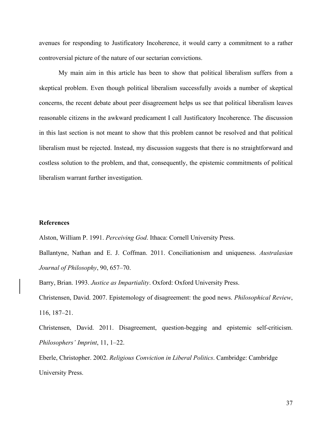avenues for responding to Justificatory Incoherence, it would carry a commitment to a rather controversial picture of the nature of our sectarian convictions.

My main aim in this article has been to show that political liberalism suffers from a skeptical problem. Even though political liberalism successfully avoids a number of skeptical concerns, the recent debate about peer disagreement helps us see that political liberalism leaves reasonable citizens in the awkward predicament I call Justificatory Incoherence. The discussion in this last section is not meant to show that this problem cannot be resolved and that political liberalism must be rejected. Instead, my discussion suggests that there is no straightforward and costless solution to the problem, and that, consequently, the epistemic commitments of political liberalism warrant further investigation.

# **References**

Alston, William P. 1991. *Perceiving God*. Ithaca: Cornell University Press.

Ballantyne, Nathan and E. J. Coffman. 2011. Conciliationism and uniqueness. *Australasian Journal of Philosophy*, 90, 657‒70.

Barry, Brian. 1993. *Justice as Impartiality*. Oxford: Oxford University Press.

Christensen, David. 2007. Epistemology of disagreement: the good news. *Philosophical Review*, 116, 187‒21.

Christensen, David. 2011. Disagreement, question-begging and epistemic self-criticism. *Philosophers' Imprint*, 11, 1‒22.

Eberle, Christopher. 2002. *Religious Conviction in Liberal Politics*. Cambridge: Cambridge University Press.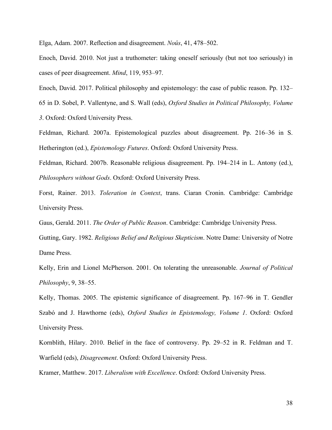Elga, Adam. 2007. Reflection and disagreement. *Noûs*, 41, 478–502.

Enoch, David. 2010. Not just a truthometer: taking oneself seriously (but not too seriously) in cases of peer disagreement. *Mind*, 119, 953–97.

Enoch, David. 2017. Political philosophy and epistemology: the case of public reason. Pp. 132– 65 in D. Sobel, P. Vallentyne, and S. Wall (eds), *Oxford Studies in Political Philosophy, Volume 3*. Oxford: Oxford University Press.

Feldman, Richard. 2007a. Epistemological puzzles about disagreement. Pp. 216–36 in S. Hetherington (ed.), *Epistemology Futures*. Oxford: Oxford University Press.

Feldman, Richard. 2007b. Reasonable religious disagreement. Pp. 194–214 in L. Antony (ed.), *Philosophers without Gods*. Oxford: Oxford University Press.

Forst, Rainer. 2013. *Toleration in Context*, trans. Ciaran Cronin. Cambridge: Cambridge University Press.

Gaus, Gerald. 2011. *The Order of Public Reason*. Cambridge: Cambridge University Press.

Gutting, Gary. 1982. *Religious Belief and Religious Skepticism*. Notre Dame: University of Notre Dame Press.

Kelly, Erin and Lionel McPherson. 2001. On tolerating the unreasonable. *Journal of Political Philosophy*, 9, 38‒55.

Kelly, Thomas. 2005. The epistemic significance of disagreement. Pp. 167–96 in T. Gendler Szabó and J. Hawthorne (eds), *Oxford Studies in Epistemology, Volume 1*. Oxford: Oxford University Press.

Kornblith, Hilary. 2010. Belief in the face of controversy. Pp. 29–52 in R. Feldman and T. Warfield (eds), *Disagreement*. Oxford: Oxford University Press.

Kramer, Matthew. 2017. *Liberalism with Excellence*. Oxford: Oxford University Press.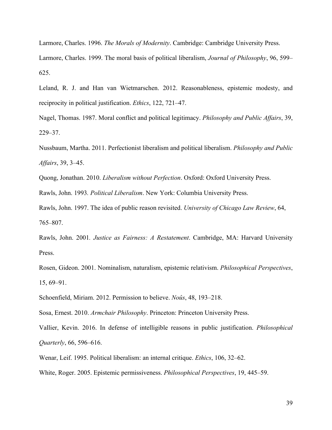Larmore, Charles. 1996. *The Morals of Modernity*. Cambridge: Cambridge University Press. Larmore, Charles. 1999. The moral basis of political liberalism, *Journal of Philosophy*, 96, 599– 625.

Leland, R. J. and Han van Wietmarschen. 2012. Reasonableness, epistemic modesty, and reciprocity in political justification. *Ethics*, 122, 721–47.

Nagel, Thomas. 1987. Moral conflict and political legitimacy. *Philosophy and Public Affairs*, 39, 229‒37.

Nussbaum, Martha. 2011. Perfectionist liberalism and political liberalism. *Philosophy and Public Affairs*, 39, 3‒45.

Quong, Jonathan. 2010. *Liberalism without Perfection*. Oxford: Oxford University Press.

Rawls, John. 1993*. Political Liberalism*. New York: Columbia University Press.

Rawls, John. 1997. The idea of public reason revisited. *University of Chicago Law Review*, 64, 765‒807.

Rawls, John. 2001*. Justice as Fairness: A Restatement*. Cambridge, MA: Harvard University Press.

Rosen, Gideon. 2001. Nominalism, naturalism, epistemic relativism. *Philosophical Perspectives*, 15, 69‒91.

Schoenfield, Miriam. 2012. Permission to believe. *Noûs*, 48, 193–218.

Sosa, Ernest. 2010. *Armchair Philosophy*. Princeton: Princeton University Press.

Vallier, Kevin. 2016. In defense of intelligible reasons in public justification. *Philosophical Quarterly*, 66, 596–616.

Wenar, Leif. 1995. Political liberalism: an internal critique. *Ethics*, 106, 32‒62.

White, Roger. 2005. Epistemic permissiveness. *Philosophical Perspectives*, 19, 445‒59.